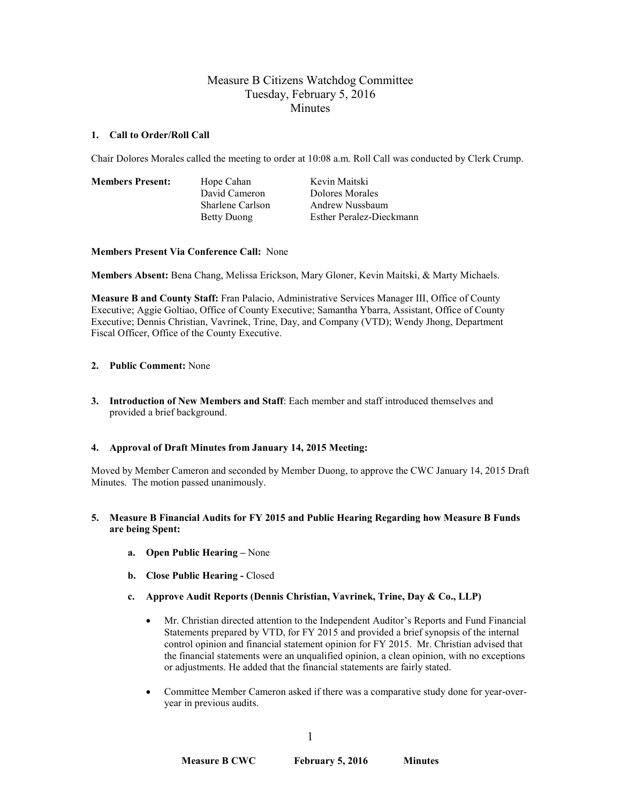# Measure B Citizens Watchdog Committee Tuesday, February 5, 2016 **Minutes**

## **1. Call to Order/Roll Call**

Chair Dolores Morales called the meeting to order at 10:08 a.m. Roll Call was conducted by Clerk Crump.

**Members Present:** Hope Cahan Kevin Maitski

David Cameron Dolores Morales Sharlene Carlson Andrew Nussbaum Betty Duong Esther Peralez-Dieckmann

**Members Present Via Conference Call:** None

**Members Absent:** Bena Chang, Melissa Erickson, Mary Gloner, Kevin Maitski, & Marty Michaels.

**Measure B and County Staff:** Fran Palacio, Administrative Services Manager III, Office of County Executive; Aggie Goltiao, Office of County Executive; Samantha Ybarra, Assistant, Office of County Executive; Dennis Christian, Vavrinek, Trine, Day, and Company (VTD); Wendy Jhong, Department Fiscal Officer, Office of the County Executive.

## **2. Public Comment:** None

**3. Introduction of New Members and Staff**: Each member and staff introduced themselves and provided a brief background.

## **4. Approval of Draft Minutes from January 14, 2015 Meeting:**

Moved by Member Cameron and seconded by Member Duong, to approve the CWC January 14, 2015 Draft Minutes. The motion passed unanimously.

## **5. Measure B Financial Audits for FY 2015 and Public Hearing Regarding how Measure B Funds are being Spent:**

- **a. Open Public Hearing –** None
- **b. Close Public Hearing -** Closed
- **c. Approve Audit Reports (Dennis Christian, Vavrinek, Trine, Day & Co., LLP)**
	- Mr. Christian directed attention to the Independent Auditor's Reports and Fund Financial Statements prepared by VTD, for FY 2015 and provided a brief synopsis of the internal control opinion and financial statement opinion for FY 2015. Mr. Christian advised that the financial statements were an unqualified opinion, a clean opinion, with no exceptions or adjustments. He added that the financial statements are fairly stated.
	- Committee Member Cameron asked if there was a comparative study done for year-overyear in previous audits.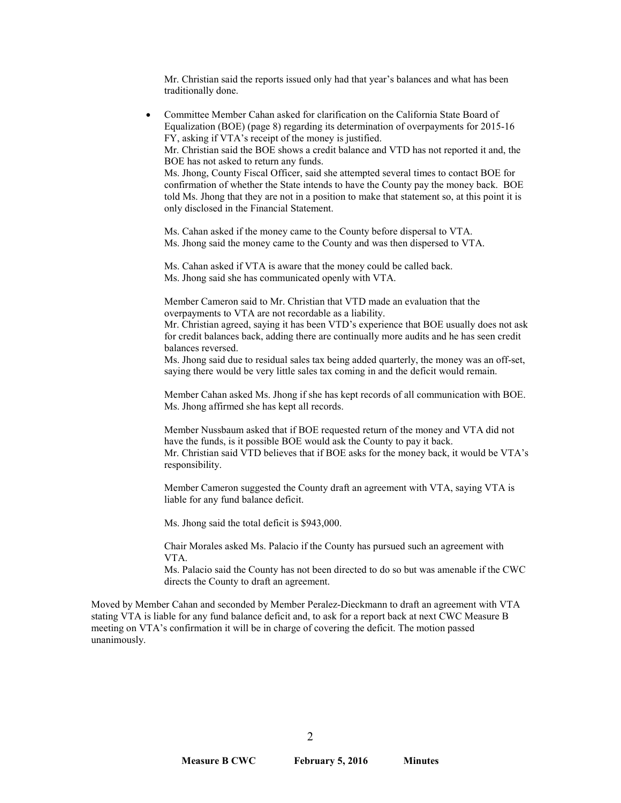Mr. Christian said the reports issued only had that year's balances and what has been traditionally done.

• Committee Member Cahan asked for clarification on the California State Board of Equalization (BOE) (page 8) regarding its determination of overpayments for 2015-16 FY, asking if VTA's receipt of the money is justified. Mr. Christian said the BOE shows a credit balance and VTD has not reported it and, the BOE has not asked to return any funds. Ms. Jhong, County Fiscal Officer, said she attempted several times to contact BOE for confirmation of whether the State intends to have the County pay the money back. BOE told Ms. Jhong that they are not in a position to make that statement so, at this point it is only disclosed in the Financial Statement. Ms. Cahan asked if the money came to the County before dispersal to VTA. Ms. Jhong said the money came to the County and was then dispersed to VTA. Ms. Cahan asked if VTA is aware that the money could be called back. Ms. Jhong said she has communicated openly with VTA. Member Cameron said to Mr. Christian that VTD made an evaluation that the overpayments to VTA are not recordable as a liability. Mr. Christian agreed, saying it has been VTD's experience that BOE usually does not ask for credit balances back, adding there are continually more audits and he has seen credit balances reversed. Ms. Jhong said due to residual sales tax being added quarterly, the money was an off-set, saying there would be very little sales tax coming in and the deficit would remain. Member Cahan asked Ms. Jhong if she has kept records of all communication with BOE. Ms. Jhong affirmed she has kept all records.

Member Nussbaum asked that if BOE requested return of the money and VTA did not have the funds, is it possible BOE would ask the County to pay it back. Mr. Christian said VTD believes that if BOE asks for the money back, it would be VTA's responsibility.

Member Cameron suggested the County draft an agreement with VTA, saying VTA is liable for any fund balance deficit.

Ms. Jhong said the total deficit is \$943,000.

Chair Morales asked Ms. Palacio if the County has pursued such an agreement with VTA.

Ms. Palacio said the County has not been directed to do so but was amenable if the CWC directs the County to draft an agreement.

Moved by Member Cahan and seconded by Member Peralez-Dieckmann to draft an agreement with VTA stating VTA is liable for any fund balance deficit and, to ask for a report back at next CWC Measure B meeting on VTA's confirmation it will be in charge of covering the deficit. The motion passed unanimously.